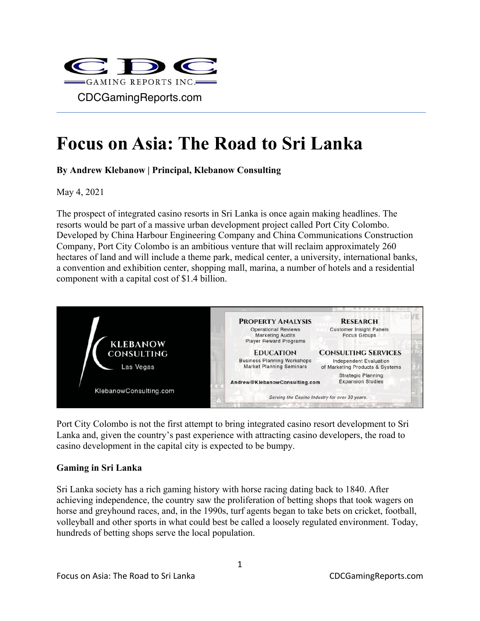

## **Focus on Asia: The Road to Sri Lanka**

**By Andrew Klebanow | Principal, Klebanow Consulting**

May 4, 2021

The prospect of integrated casino resorts in Sri Lanka is once again making headlines. The resorts would be part of a massive urban development project called Port City Colombo. Developed by China Harbour Engineering Company and China Communications Construction Company, Port City Colombo is an ambitious venture that will reclaim approximately 260 hectares of land and will include a theme park, medical center, a university, international banks, a convention and exhibition center, shopping mall, marina, a number of hotels and a residential component with a capital cost of \$1.4 billion.



Port City Colombo is not the first attempt to bring integrated casino resort development to Sri Lanka and, given the country's past experience with attracting casino developers, the road to casino development in the capital city is expected to be bumpy.

## **Gaming in Sri Lanka**

Sri Lanka society has a rich gaming history with horse racing dating back to 1840. After achieving independence, the country saw the proliferation of betting shops that took wagers on horse and greyhound races, and, in the 1990s, turf agents began to take bets on cricket, football, volleyball and other sports in what could best be called a loosely regulated environment. Today, hundreds of betting shops serve the local population.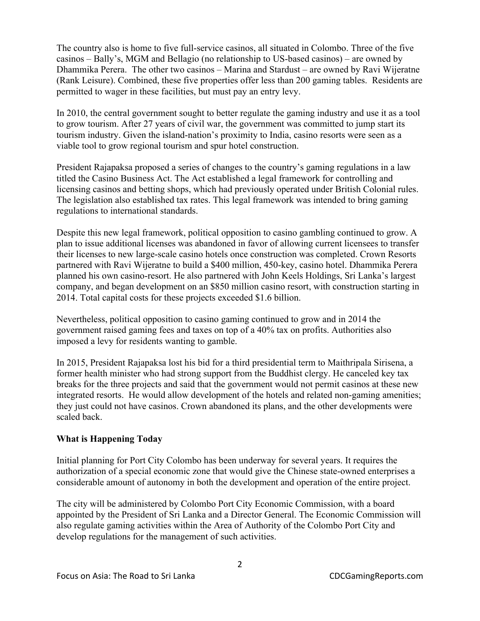The country also is home to five full-service casinos, all situated in Colombo. Three of the five casinos – Bally's, MGM and Bellagio (no relationship to US-based casinos) – are owned by Dhammika Perera. The other two casinos – Marina and Stardust – are owned by Ravi Wijeratne (Rank Leisure). Combined, these five properties offer less than 200 gaming tables. Residents are permitted to wager in these facilities, but must pay an entry levy.

In 2010, the central government sought to better regulate the gaming industry and use it as a tool to grow tourism. After 27 years of civil war, the government was committed to jump start its tourism industry. Given the island-nation's proximity to India, casino resorts were seen as a viable tool to grow regional tourism and spur hotel construction.

President Rajapaksa proposed a series of changes to the country's gaming regulations in a law titled the Casino Business Act. The Act established a legal framework for controlling and licensing casinos and betting shops, which had previously operated under British Colonial rules. The legislation also established tax rates. This legal framework was intended to bring gaming regulations to international standards.

Despite this new legal framework, political opposition to casino gambling continued to grow. A plan to issue additional licenses was abandoned in favor of allowing current licensees to transfer their licenses to new large-scale casino hotels once construction was completed. Crown Resorts partnered with Ravi Wijeratne to build a \$400 million, 450-key, casino hotel. Dhammika Perera planned his own casino-resort. He also partnered with John Keels Holdings, Sri Lanka's largest company, and began development on an \$850 million casino resort, with construction starting in 2014. Total capital costs for these projects exceeded \$1.6 billion.

Nevertheless, political opposition to casino gaming continued to grow and in 2014 the government raised gaming fees and taxes on top of a 40% tax on profits. Authorities also imposed a levy for residents wanting to gamble.

In 2015, President Rajapaksa lost his bid for a third presidential term to Maithripala Sirisena, a former health minister who had strong support from the Buddhist clergy. He canceled key tax breaks for the three projects and said that the government would not permit casinos at these new integrated resorts. He would allow development of the hotels and related non-gaming amenities; they just could not have casinos. Crown abandoned its plans, and the other developments were scaled back.

## **What is Happening Today**

Initial planning for Port City Colombo has been underway for several years. It requires the authorization of a special economic zone that would give the Chinese state-owned enterprises a considerable amount of autonomy in both the development and operation of the entire project.

The city will be administered by Colombo Port City Economic Commission, with a board appointed by the President of Sri Lanka and a Director General. The Economic Commission will also regulate gaming activities within the Area of Authority of the Colombo Port City and develop regulations for the management of such activities.